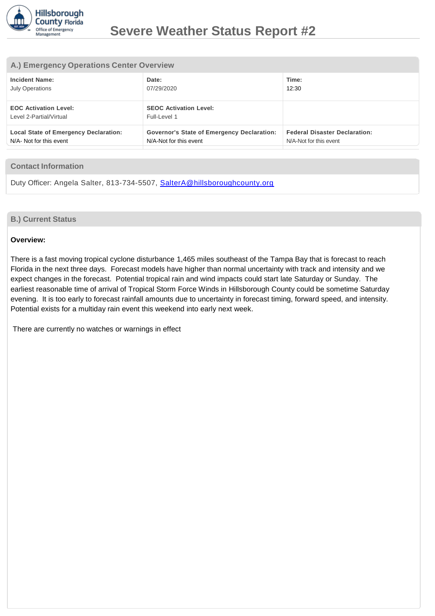

#### **A.) Emergency Operations Center Overview**

| <b>Incident Name:</b>                                   | Date:                                             | Time:                                |
|---------------------------------------------------------|---------------------------------------------------|--------------------------------------|
| <b>July Operations</b>                                  | 07/29/2020                                        | 12:30                                |
| <b>EOC Activation Level:</b><br>Level 2-Partial/Virtual | <b>SEOC Activation Level:</b><br>Full-Level 1     |                                      |
| <b>Local State of Emergency Declaration:</b>            | <b>Governor's State of Emergency Declaration:</b> | <b>Federal Disaster Declaration:</b> |
| N/A- Not for this event                                 | N/A-Not for this event                            | N/A-Not for this event               |

#### **Contact Information**

Duty Officer: Angela Salter, 813-734-5507, [SalterA@hillsboroughcounty.org](mailto:SalterA@hillsboroughcounty.org)

#### **B.) Current Status**

#### **Overview:**

There is a fast moving tropical cyclone disturbance 1,465 miles southeast of the Tampa Bay that is forecast to reach Florida in the next three days. Forecast models have higher than normal uncertainty with track and intensity and we expect changes in the forecast. Potential tropical rain and wind impacts could start late Saturday or Sunday. The earliest reasonable time of arrival of Tropical Storm Force Winds in Hillsborough County could be sometime Saturday evening. It is too early to forecast rainfall amounts due to uncertainty in forecast timing, forward speed, and intensity. Potential exists for a multiday rain event this weekend into early next week.

There are currently no watches or warnings in effect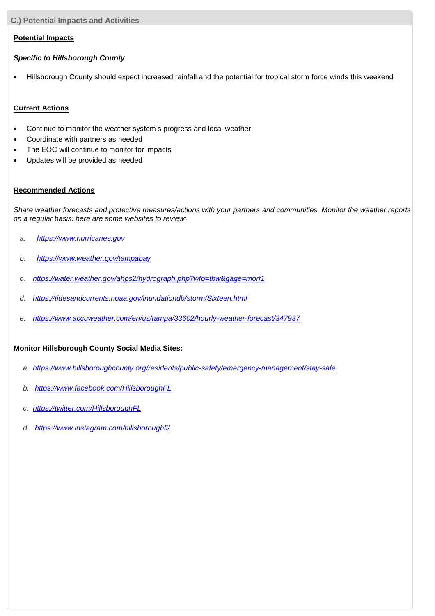**C.) Potential Impacts and Activities**

### **Potential Impacts**

### *Specific to Hillsborough County*

Hillsborough County should expect increased rainfall and the potential for tropical storm force winds this weekend

### **Current Actions**

- Continue to monitor the weather system's progress and local weather
- Coordinate with partners as needed
- The EOC will continue to monitor for impacts
- Updates will be provided as needed

## **Recommended Actions**

*Share weather forecasts and protective measures/actions with your partners and communities. Monitor the weather reports on a regular basis: here are some websites to review:*

- *a. [https://www.hurricanes.gov](http://www.hurricanes.gov/)*
- *b. [https://www.weather.gov/tampabay](http://www.weather.gov/tampabay)*
- *c. <https://water.weather.gov/ahps2/hydrograph.php?wfo=tbw&gage=morf1>*
- *d. <https://tidesandcurrents.noaa.gov/inundationdb/storm/Sixteen.html>*
- *e. <https://www.accuweather.com/en/us/tampa/33602/hourly-weather-forecast/347937>*

# **Monitor Hillsborough County Social Media Sites:**

- *a. [https://www.hillsboroughcounty.org/residents/public-safety/emergency-management/stay-safe](http://www.hillsboroughcounty.org/residents/public)*
- *b. [https://www.facebook.com/HillsboroughFL](http://www.facebook.com/HillsboroughFL)*
- *c. <https://twitter.com/HillsboroughFL>*
- *d. [https://www.instagram.com/hillsboroughfl/](http://www.instagram.com/hillsboroughfl/)*